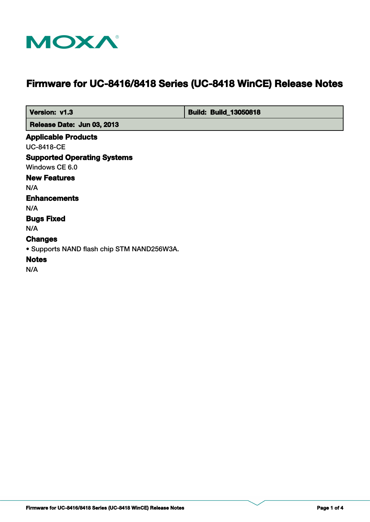

# **Firmware for UC-8416/8418 Series (UC-8418 WinCE) Release Notes**

 **Version: v1.3 Build: Build: Build: 13050818** 

 **Release Date: Jun 03, 2013**

#### **Applicable Products**

UC-8418-CE

#### **Supported Operating Systems**

Windows CE 6.0

# **New Features**

N/A

## **Enhancements**

N/A

# **Bugs Fixed**

N/A

# **Changes**

• Supports NAND flash chip STM NAND256W3A.

# **Notes**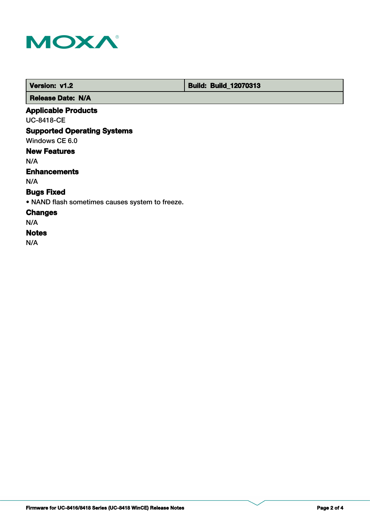

 **Version: v1.2 Build: Build: Build: 12070313** 

 **Release Date: N/A**

# **Applicable Products**

UC-8418-CE

# **Supported Operating Systems**

Windows CE 6.0

# **New Features**

N/A

## **Enhancements**

N/A

# **Bugs Fixed**

• NAND flash sometimes causes system to freeze.

## **Changes**

N/A

## **Notes**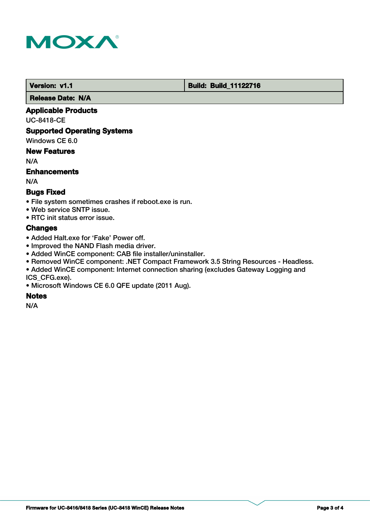

**Version: v1.1 Version: v1.1 Build: Build: Build: 11122716** 

 **Release Date: N/A**

## **Applicable Products**

UC-8418-CE

## **Supported Operating Systems**

Windows CE 6.0

## **New Features**

N/A

## **Enhancements**

N/A

## **Bugs Fixed**

- File system sometimes crashes if reboot.exe is run.
- Web service SNTP issue.
- RTC init status error issue.

## **Changes**

- Added Halt.exe for 'Fake' Power off.
- Improved the NAND Flash media driver.
- Added WinCE component: CAB file installer/uninstaller.
- Removed WinCE component: .NET Compact Framework 3.5 String Resources Headless.
- Added WinCE component: Internet connection sharing (excludes Gateway Logging and ICS\_CFG.exe).
- Microsoft Windows CE 6.0 QFE update (2011 Aug).

## **Notes**